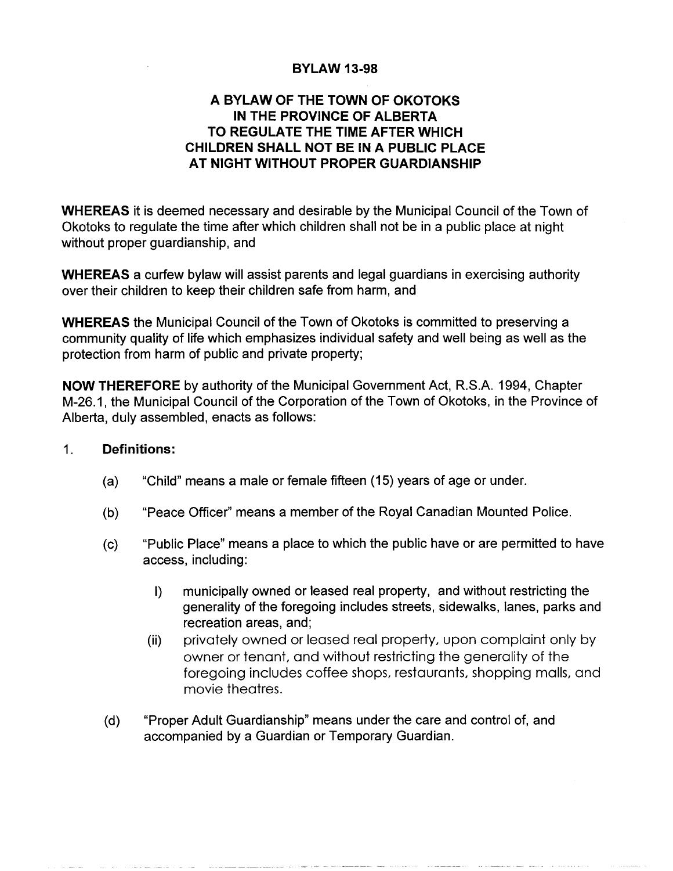## BYLAW 13-98

## A BYLAW OF THE TOWN OF OKOTOKS IN THE PROVINCE OF ALBERTA TO REGULATE THE TIME AFTER WHICH CHILDREN SHALL NOT BE IN A PUBLIC PLACE AT NIGHT WITHOUT PROPER GUARDIANSHIP

WHEREAS it is deemed necessary and desirable by the Municipal Council of the Town of Okotoks to regulate the time after which children shall not be in <sup>a</sup> public place at night without proper guardianship, and

WHEREAS a curfew bylaw will assist parents and legal guardians in exercising authority over their children to keep their children safe from harm, and

WHEREAS the Municipal Council of the Town of Okotoks is committed to preserving <sup>a</sup> community quality of life which emphasizes individual safety and well being as well as the protection from harm of public and private property;

NOW THEREFORE by authority of the Municipal Government Act, R.S.A. 1994, Chapter M-26.1, the Municipal Council of the Corporation of the Town of Okotoks, in the Province of Alberta, duly assembled, enacts as follows:

## $1<sub>1</sub>$ Definitions:

- a) "Child" means <sup>a</sup> male or female fifteen (15) years of age or under.
- b) "Peace Officer" means <sup>a</sup> member of the Royal Canadian Mounted Police.
- c) "Public Place" means <sup>a</sup> place to which the public have or are permitted to have access, including:
	- I) municipally owned or leased real property, and without restricting the generality of the foregoing includes streets, sidewalks, lanes, parks and recreation areas, and;
	- ii) privately owned or leased real property, upon complaint only by owner or tenant, and without restricting the generality of the foregoing includes coffee shops, restaurants, shopping malls, and movie theatres.
- d) "Proper Adult Guardianship" means under the care and control of, and accompanied by <sup>a</sup> Guardian or Temporary Guardian.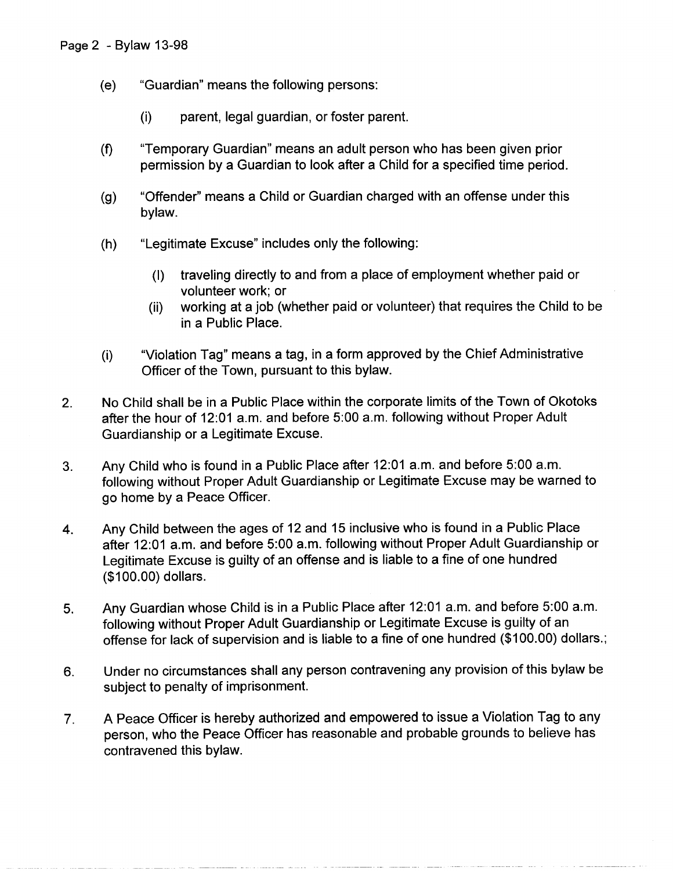- e) "Guardian" means the following persons:
	- i) parent, legal guardian, or foster parent.
- f) "Temporary Guardian" means an adult person who has been given prior permission by <sup>a</sup> Guardian to look after <sup>a</sup> Child for <sup>a</sup> specified time period.
- g) "Offender" means <sup>a</sup> Child or Guardian charged with an offense under this bylaw.
- h) "Legitimate Excuse" includes only the following:
	- I) traveling directly to and from <sup>a</sup> place of employment whether paid or volunteer work; or
	- volunteer work, or<br>(ii) working at a job (whether paid or volunteer) that requires the Child to be in a Public Place.
- i) "Violation Tag" means <sup>a</sup> tag, in <sup>a</sup> form approved by the Chief Administrative Officer of the Town, pursuant to this bylaw.
- 2. No Child shall be in <sup>a</sup> Public Place within the corporate limits of the Town of Okotoks after the hour of 12:01 a.m. and before 5:00 a.m. following without Proper Adult Guardianship or <sup>a</sup> Legitimate Excuse.
- 3. Any Child who is found in <sup>a</sup> Public Place after 12:01 a.m. and before 5:00 a.m. following without Proper Adult Guardianship or Legitimate Excuse may be warned to go home by <sup>a</sup> Peace Officer.
- 4. Any Child between the ages of <sup>12</sup> and <sup>15</sup> inclusive who is found in <sup>a</sup> Public Place after 12:01 a.m. and before 5:00 a.m. following without Proper Adult Guardianship or Legitimate Excuse is guilty of an offense and is liable to <sup>a</sup> fine of one hundred 100.00) dollars.
- 5. Any Guardian whose Child is in <sup>a</sup> Public Place after 12:01 a.m. and before 5:00 a.m. following without Proper Adult Guardianship or Legitimate Excuse is guilty of an offense for lack of supervision and is liable to <sup>a</sup> fine of one hundred (\$100.00) dollars.;
- 6. Under no circumstances shall any person contravening any provision of this bylaw be subject to penalty of imprisonment.
- 7. A Peace Officer is hereby authorized and empowered to issue <sup>a</sup> Violation Tag to any person, who the Peace Officer has reasonable and probable grounds to believe has contravened this bylaw.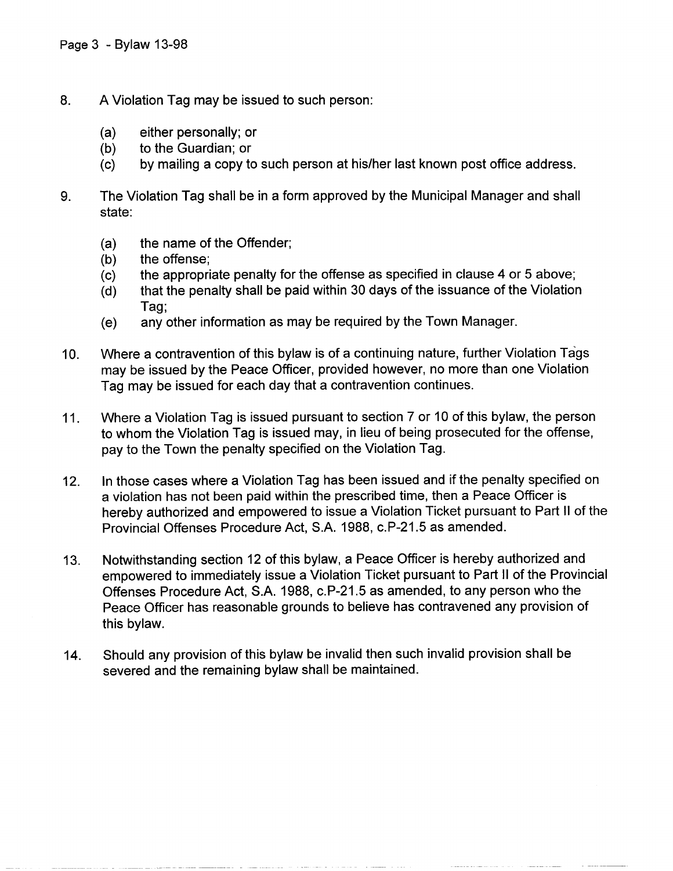- 8. A Violation Tag may be issued to such person:
	-
	- (a) either personally; or<br>(b) to the Guardian; or (b) to the Guardian; or  $(c)$  by mailing a copy to
	- by mailing a copy to such person at his/her last known post office address.
- 9. The Violation Tag shall be in <sup>a</sup> form approved by the Municipal Manager and shall state:
	- (a) the name of the Offender;<br>(b) the offense;
	-
	- (b) the offense;<br>(c) the appropri
	- (c) the appropriate penalty for the offense as specified in clause 4 or 5 above;<br>(d) that the penalty shall be paid within 30 days of the issuance of the Violatior that the penalty shall be paid within 30 days of the issuance of the Violation Tag;
	- e) any other information as may be required by the Town Manager.
- 10. Where <sup>a</sup> contravention of this bylaw is of <sup>a</sup> continuing nature, further Violation Tags may be issued by the Peace Officer, provided however, no more than one Violation Tag may be issued for each day that <sup>a</sup> contravention continues.
- 11. Where <sup>a</sup> Violation Tag is issued pursuant to section <sup>7</sup> or <sup>10</sup> of this bylaw, the person to whom the Violation Tag is issued may, in lieu of being prosecuted for the offense, pay to the Town the penalty specified on the Violation Tag.
- 12. In those cases where <sup>a</sup> Violation Tag has been issued and if the penalty specified on <sup>a</sup> violation has not been paid within the prescribed time, then <sup>a</sup> Peace Officer is hereby authorized and empowered to issue <sup>a</sup> Violation Ticket pursuant to Part II of the a violation nas not been paid within the prescribed time, then a Feact<br>hereby authorized and empowered to issue a Violation Ticket pursua<br>Provincial Offenses Procedure Act, S.A. 1988, c.P-21.5 as amended.
- 13. Notwithstanding section <sup>12</sup> of this bylaw, <sup>a</sup> Peace Officer is hereby authorized and empowered to immediately issue a Violation Ticket pursuant to Part II of the Provincia Notwithstanding section 12 of this bylaw, a Peace Officer is hereby additionzed an<br>empowered to immediately issue a Violation Ticket pursuant to Part II of the Prov<br>Offenses Procedure Act, S.A. 1988, c.P-21.5 as amended, t Peace Officer has reasonable grounds to believe has contravened any provision of this bylaw.
- 14. Should any provision of this bylaw be invalid then such invalid provision shall be severed and the remaining bylaw shall be maintained.